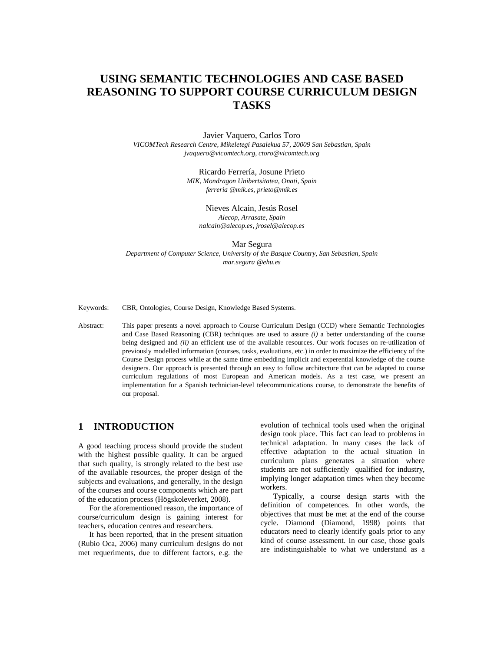# **USING SEMANTIC TECHNOLOGIES AND CASE BASED REASONING TO SUPPORT COURSE CURRICULUM DESIGN TASKS**

## Javier Vaquero, Carlos Toro

*VICOMTech Research Centre, Mikeletegi Pasalekua 57, 20009 San Sebastian, Spain jvaquero@vicomtech.org, ctoro@vicomtech.org* 

> Ricardo Ferrería, Josune Prieto *MIK, Mondragon Unibertsitatea, Onati, Spain ferreria @mik.es, prieto@mik.es*

Nieves Alcain, Jesús Rosel *Alecop, Arrasate, Spain nalcain@alecop.es, jrosel@alecop.es* 

#### Mar Segura

*Department of Computer Science, University of the Basque Country, San Sebastian, Spain mar.segura @ehu.es* 

Keywords: CBR, Ontologies, Course Design, Knowledge Based Systems.

Abstract: This paper presents a novel approach to Course Curriculum Design (CCD) where Semantic Technologies and Case Based Reasoning (CBR) techniques are used to assure *(i)* a better understanding of the course being designed and *(ii)* an efficient use of the available resources. Our work focuses on re-utilization of previously modelled information (courses, tasks, evaluations, etc.) in order to maximize the efficiency of the Course Design process while at the same time embedding implicit and experential knowledge of the course designers. Our approach is presented through an easy to follow architecture that can be adapted to course curriculum regulations of most European and American models. As a test case, we present an implementation for a Spanish technician-level telecommunications course, to demonstrate the benefits of our proposal.

# **1 INTRODUCTION**

A good teaching process should provide the student with the highest possible quality. It can be argued that such quality, is strongly related to the best use of the available resources, the proper design of the subjects and evaluations, and generally, in the design of the courses and course components which are part of the education process (Högskoleverket, 2008).

For the aforementioned reason, the importance of course/curriculum design is gaining interest for teachers, education centres and researchers.

It has been reported, that in the present situation (Rubio Oca, 2006) many curriculum designs do not met requeriments, due to different factors, e.g. the evolution of technical tools used when the original design took place. This fact can lead to problems in technical adaptation. In many cases the lack of effective adaptation to the actual situation in curriculum plans generates a situation where students are not sufficiently qualified for industry, implying longer adaptation times when they become workers.

 Typically, a course design starts with the definition of competences. In other words, the objectives that must be met at the end of the course cycle. Diamond (Diamond, 1998) points that educators need to clearly identify goals prior to any kind of course assessment. In our case, those goals are indistinguishable to what we understand as a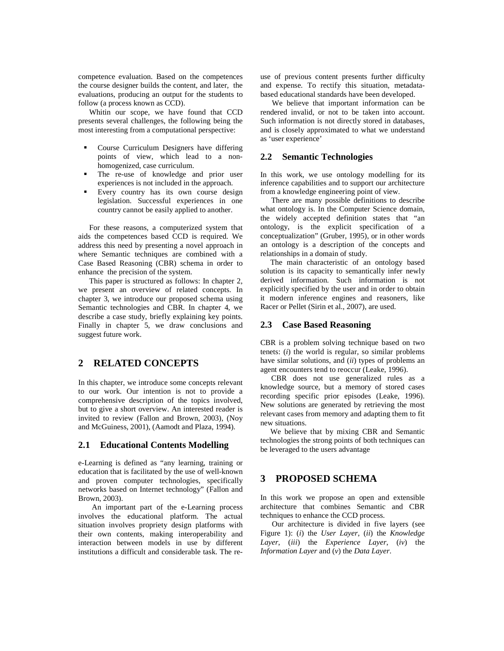competence evaluation. Based on the competences the course designer builds the content, and later, the evaluations, producing an output for the students to follow (a process known as CCD).

Whitin our scope, we have found that CCD presents several challenges, the following being the most interesting from a computational perspective:

- Course Curriculum Designers have differing points of view, which lead to a nonhomogenized, case curriculum.
- The re-use of knowledge and prior user experiences is not included in the approach.
- Every country has its own course design legislation. Successful experiences in one country cannot be easily applied to another.

For these reasons, a computerized system that aids the competences based CCD is required. We address this need by presenting a novel approach in where Semantic techniques are combined with a Case Based Reasoning (CBR) schema in order to enhance the precision of the system.

This paper is structured as follows: In chapter 2, we present an overview of related concepts. In chapter 3, we introduce our proposed schema using Semantic technologies and CBR. In chapter 4, we describe a case study, briefly explaining key points. Finally in chapter 5, we draw conclusions and suggest future work.

# **2 RELATED CONCEPTS**

In this chapter, we introduce some concepts relevant to our work. Our intention is not to provide a comprehensive description of the topics involved, but to give a short overview. An interested reader is invited to review (Fallon and Brown, 2003), (Noy and McGuiness, 2001), (Aamodt and Plaza, 1994).

### **2.1 Educational Contents Modelling**

e-Learning is defined as "any learning, training or education that is facilitated by the use of well-known and proven computer technologies, specifically networks based on Internet technology" (Fallon and Brown, 2003).

 An important part of the e-Learning process involves the educational platform. The actual situation involves propriety design platforms with their own contents, making interoperability and interaction between models in use by different institutions a difficult and considerable task. The reuse of previous content presents further difficulty and expense. To rectify this situation, metadatabased educational standards have been developed.

We believe that important information can be rendered invalid, or not to be taken into account. Such information is not directly stored in databases, and is closely approximated to what we understand as 'user experience'

#### **2.2 Semantic Technologies**

In this work, we use ontology modelling for its inference capabilities and to support our architecture from a knowledge engineering point of view.

There are many possible definitions to describe what ontology is. In the Computer Science domain, the widely accepted definition states that "an ontology, is the explicit specification of a conceptualization" (Gruber, 1995), or in other words an ontology is a description of the concepts and relationships in a domain of study.

The main characteristic of an ontology based solution is its capacity to semantically infer newly derived information. Such information is not explicitly specified by the user and in order to obtain it modern inference engines and reasoners, like Racer or Pellet (Sirin et al., 2007), are used.

### **2.3 Case Based Reasoning**

CBR is a problem solving technique based on two tenets: (*i*) the world is regular, so similar problems have similar solutions, and (*ii*) types of problems an agent encounters tend to reoccur (Leake, 1996).

CBR does not use generalized rules as a knowledge source, but a memory of stored cases recording specific prior episodes (Leake, 1996). New solutions are generated by retrieving the most relevant cases from memory and adapting them to fit new situations.

We believe that by mixing CBR and Semantic technologies the strong points of both techniques can be leveraged to the users advantage

## **3 PROPOSED SCHEMA**

In this work we propose an open and extensible architecture that combines Semantic and CBR techniques to enhance the CCD process.

Our architecture is divided in five layers (see Figure 1): (*i*) the *User Layer*, (*ii*) the *Knowledge Layer*, (*iii*) the *Experience Layer*, (*iv*) the *Information Layer* and (*v*) the *Data Layer*.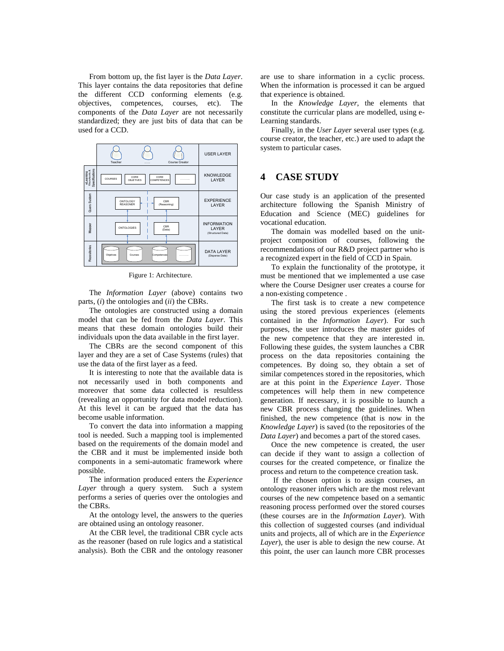From bottom up, the fist layer is the *Data Layer*. This layer contains the data repositories that define the different CCD conforming elements (e.g. objectives, competences, courses, etc). The components of the *Data Layer* are not necessarily standardized; they are just bits of data that can be used for a CCD.



Figure 1: Architecture.

The *Information Layer* (above) contains two parts, (*i*) the ontologies and (*ii*) the CBRs.

The ontologies are constructed using a domain model that can be fed from the *Data Layer*. This means that these domain ontologies build their individuals upon the data available in the first layer.

The CBRs are the second component of this layer and they are a set of Case Systems (rules) that use the data of the first layer as a feed.

It is interesting to note that the available data is not necessarily used in both components and moreover that some data collected is resultless (revealing an opportunity for data model reduction). At this level it can be argued that the data has become usable information.

To convert the data into information a mapping tool is needed. Such a mapping tool is implemented based on the requirements of the domain model and the CBR and it must be implemented inside both components in a semi-automatic framework where possible.

The information produced enters the *Experience Layer* through a query system. Such a system performs a series of queries over the ontologies and the CBRs.

At the ontology level, the answers to the queries are obtained using an ontology reasoner.

At the CBR level, the traditional CBR cycle acts as the reasoner (based on rule logics and a statistical analysis). Both the CBR and the ontology reasoner are use to share information in a cyclic process. When the information is processed it can be argued that experience is obtained.

In the *Knowledge Layer*, the elements that constitute the curricular plans are modelled, using e-Learning standards.

Finally, in the *User Layer* several user types (e.g. course creator, the teacher, etc.) are used to adapt the system to particular cases.

## **4 CASE STUDY**

Our case study is an application of the presented architecture following the Spanish Ministry of Education and Science (MEC) guidelines for vocational education.

The domain was modelled based on the unitproject composition of courses, following the recommendations of our R&D project partner who is a recognized expert in the field of CCD in Spain.

To explain the functionality of the prototype, it must be mentioned that we implemented a use case where the Course Designer user creates a course for a non-existing competence .

The first task is to create a new competence using the stored previous experiences (elements contained in the *Information Layer*). For such purposes, the user introduces the master guides of the new competence that they are interested in. Following these guides, the system launches a CBR process on the data repositories containing the competences. By doing so, they obtain a set of similar competences stored in the repositories, which are at this point in the *Experience Layer*. Those competences will help them in new competence generation. If necessary, it is possible to launch a new CBR process changing the guidelines. When finished, the new competence (that is now in the *Knowledge Layer*) is saved (to the repositories of the *Data Layer*) and becomes a part of the stored cases.

Once the new competence is created, the user can decide if they want to assign a collection of courses for the created competence, or finalize the process and return to the competence creation task.

 If the chosen option is to assign courses, an ontology reasoner infers which are the most relevant courses of the new competence based on a semantic reasoning process performed over the stored courses (these courses are in the *Information Layer*). With this collection of suggested courses (and individual units and projects, all of which are in the *Experience Layer*), the user is able to design the new course. At this point, the user can launch more CBR processes